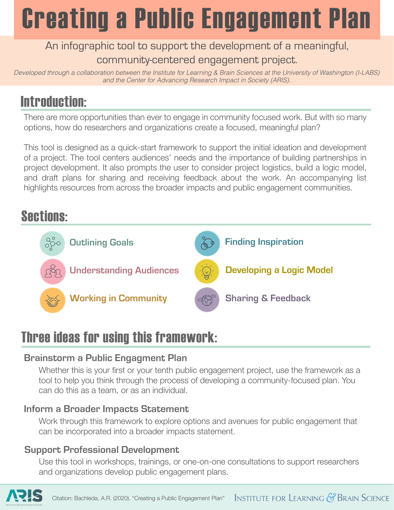# Creating a Public Engagement Plan

## An infographic tool to support the development of a meaningful, community-centered engagement project.

Developed through a collaboration between the Institute for Learning & Brain Sciences at the University of Washington (I-LABS) and the Center for Advancing Research Impact in Society (ARIS).

# Introduction:

There are more opportunities than ever to engage in community focused work. But with so many options, how do researchers and organizations create a focused, meaningful plan?

This tool is designed as a quick-start framework to support the initial ideation and development of a project. The tool centers audiences' needs and the importance of building partnerships in project development. It also prompts the user to consider project logistics, build a logic model, and draft plans for sharing and receiving feedback about the work. An accompanying list highlights resources from across the broader impacts and public engagement communities.

# Sections:



# Three ideas for using this framework:

## **Brainstorm a Public Engagment Plan**

Whether this is your first or your tenth public engagement project, use the framework as a tool to help you think through the process of developing a community-focused plan. You can do this as a team, or as an individual.

## **Inform a Broader Impacts Statement**

Work through this framework to explore options and avenues for public engagement that can be incorporated into a broader impacts statement.

## **Support Professional Development**

Use this tool in workshops, trainings, or one-on-one consultations to support researchers and organizations develop public engagement plans.

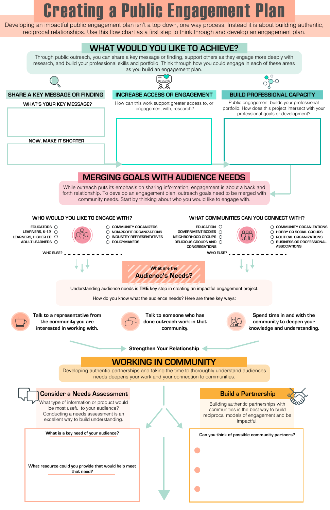Understanding audience needs is **THE** key step in creating an impactful engagement project.

How do you know what the audience needs? Here are three key ways:

**What are the Audience's Needs?** 

# Creating a Public Engagement Plan

## **WHAT WOULD YOU LIKE TO ACHIEVE?**

What type of information or product would be most useful to your audience? Conducting a needs assessment is an excellent way to build understanding.

Through public outreach, you can share a key message or finding, support others as they engage more deeply with research, and build your professional skills and portfolio. Think through how you could engage in each of these areas as you build an engagement plan.





Building authentic partnerships with communities is the best way to build reciprocal models of engagement and be impactful.

#### What is a key need of your audience? **Can you think of possible community partners**?

#### **Build a Partnership**



**What resource could you provide that would help meet that need?** 

**Talk to a representative from the community you are interested in working with.** 



**Talk to someone who has done outreach work in that community.** 



**Spend time in and with the community to deepen your knowledge and understanding.**

**Strengthen Your Relationship**

## **MERGING GOALS WITH AUDIENCE NEEDS**

While outreach puts its emphasis on sharing information, engagement is about a back and forth relationship. To develop an engagement plan, outreach goals need to be merged with community needs. Start by thinking about who you would like to engage with.

> **INDUSTRY REPRESENTATIVES POLICYMAKERS NON-PROFIT ORGANIZATIONS**

**LEARNERS, HIGHER ED LEARNERS, K-12 EDUCATORS ADULT LEARNERS**

#### **WHO WOULD YOU LIKE TO ENGAGE WITH?**

Developing an impactful public engagement plan isn't a top down, one way process. Instead it is about building authentic, reciprocal relationships. Use this flow chart as a first step to think through and develop an engagement plan.

#### **WHAT COMMUNITIES CAN YOU CONNECT WITH?**



**EDUCATION**

**GOVERNMENT BODIES NEIGHBORHOOD GROUPS RELIGIOUS GROUPS AND CONGREGATIONS**

- **COMMUNITY ORGANIZATIONS**
- **HOBBY OR SOCIAL GROUPS POLITICAL ORGANIZATIONS**
- **BUSINESS OR PROFESSIONAL ASSOCIATIONS**

**COMMUNITY ORGANIZERS**

**WHO ELSE?**

## **WORKING IN COMMUNITY**

Developing authentic partnerships and taking the time to thoroughly understand audiences

needs deepens your work and your connection to communities.

**WHO ELSE?**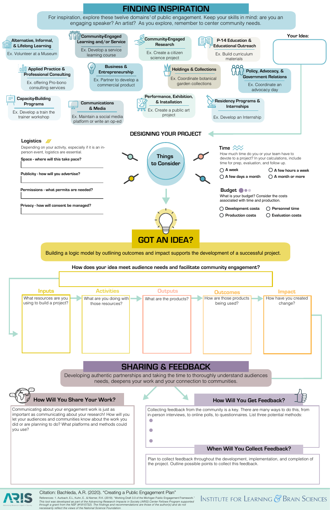## **How Will You Share Your Work?**

#### **How Will You Get Feedback?**



Collecting feedback from the community is a key. There are many ways to do this, from in-person interviews, to online polls, to questionnaires. List three potential methods:

Communicating about your engagement work is just as important as communicating about your research! How will you let your audiences and communities know about the work you did or are planning to do? What platforms and methods could you use?



 $\bigcirc$ 

 $\bigcirc$ 

 $\bigcirc$ 

Developing authentic partnerships and taking the time to thoroughly understand audiences needs, deepens your work and your connection to communities.

#### **When Will You Collect Feedback?**

Plan to collect feedback throughout the development, implementation, and completion of the project. Outline possible points to collect this feedback.



#### Citation: Bachleda, A.R. (2020). "Creating a Public Engagement Plan"

References: 1. Aurbach, E.L, Kuhn, E., & Niemer, R.K. (2019). "Working Draft 3.0 of the Michigan Public Engagement Framework." This tool was developed as part of the Advancing Research Impacts in Society (ARIS) Center Fellows Program supported<br>through a grant from the NSF (#1810732). The findings and recommendations are those of the author(s) and necessarily reflect the views of the National Science Foundation.

## **INSTITUTE FOR LEARNING & BRAIN SCIENCES**